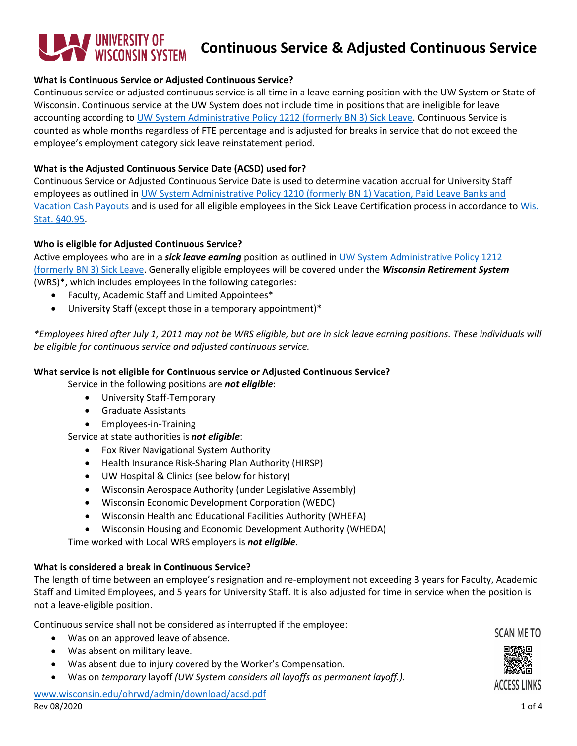# **TUNIVERSITY OF<br>YUNISCONSIN SYSTEM Continuous Service & Adjusted Continuous Service**

### **What is Continuous Service or Adjusted Continuous Service?**

Continuous service or adjusted continuous service is all time in a leave earning position with the UW System or State of Wisconsin. Continuous service at the UW System does not include time in positions that are ineligible for leave accounting according to [UW System Administrative Policy 1212 \(formerly BN 3\)](https://www.wisconsin.edu/uw-policies/uw-system-administrative-policies/sick-leave/) Sick Leave. Continuous Service is counted as whole months regardless of FTE percentage and is adjusted for breaks in service that do not exceed the employee's employment category sick leave reinstatement period.

## **What is the Adjusted Continuous Service Date (ACSD) used for?**

Continuous Service or Adjusted Continuous Service Date is used to determine vacation accrual for University Staff employees as outlined in [UW System Administrative Policy 1210 \(formerly BN 1\) Vacation, Paid Leave Banks and](https://www.wisconsin.edu/uw-policies/uw-system-administrative-policies/vacation-paid-leave-banks-and-vacation-cash-payouts/)  [Vacation Cash Payouts](https://www.wisconsin.edu/uw-policies/uw-system-administrative-policies/vacation-paid-leave-banks-and-vacation-cash-payouts/) and is used for all eligible employees in the Sick Leave Certification process in accordance to [Wis.](https://docs.legis.wisconsin.gov/statutes/statutes/40/IX/95)  [Stat. §40.95.](https://docs.legis.wisconsin.gov/statutes/statutes/40/IX/95)

## **Who is eligible for Adjusted Continuous Service?**

Active employees who are in a *sick leave earning* position as outlined in [UW System Administrative Policy 1212](https://www.wisconsin.edu/uw-policies/uw-system-administrative-policies/sick-leave/)  [\(formerly BN 3\)](https://www.wisconsin.edu/uw-policies/uw-system-administrative-policies/sick-leave/) Sick Leave. Generally eligible employees will be covered under the *Wisconsin Retirement System* (WRS)\*, which includes employees in the following categories:

- Faculty, Academic Staff and Limited Appointees\*
- University Staff (except those in a temporary appointment)\*

*\*Employees hired after July 1, 2011 may not be WRS eligible, but are in sick leave earning positions. These individuals will be eligible for continuous service and adjusted continuous service.*

#### **What service is not eligible for Continuous service or Adjusted Continuous Service?**

Service in the following positions are *not eligible*:

- University Staff-Temporary
- Graduate Assistants
- Employees-in-Training

Service at state authorities is *not eligible*:

- Fox River Navigational System Authority
- Health Insurance Risk-Sharing Plan Authority (HIRSP)
- UW Hospital & Clinics (see below for history)
- Wisconsin Aerospace Authority (under Legislative Assembly)
- Wisconsin Economic Development Corporation (WEDC)
- Wisconsin Health and Educational Facilities Authority (WHEFA)
- Wisconsin Housing and Economic Development Authority (WHEDA)

Time worked with Local WRS employers is *not eligible*.

# **What is considered a break in Continuous Service?**

The length of time between an employee's resignation and re-employment not exceeding 3 years for Faculty, Academic Staff and Limited Employees, and 5 years for University Staff. It is also adjusted for time in service when the position is not a leave-eligible position.

Continuous service shall not be considered as interrupted if the employee:

- Was on an approved leave of absence.
- Was absent on military leave.
- Was absent due to injury covered by the Worker's Compensation.
- Was on *temporary* layoff *(UW System considers all layoffs as permanent layoff.).*

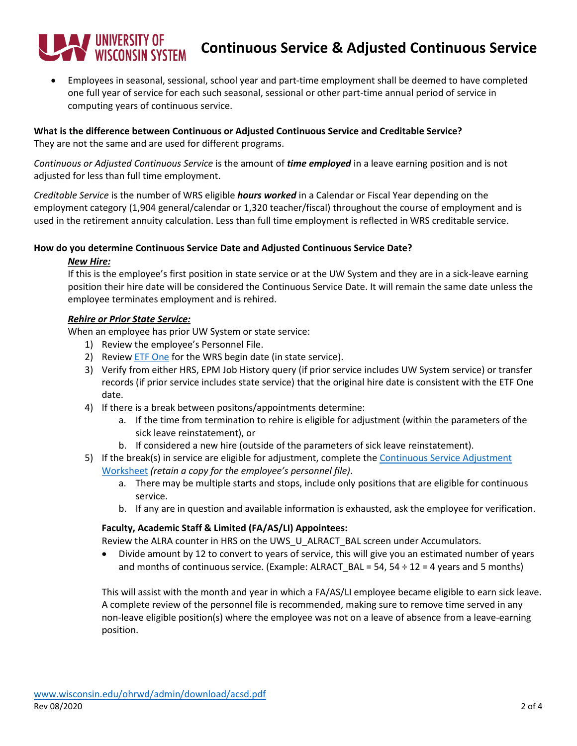# T UNIVERSITY OF<br>WISCONSIN SYSTEM **Continuous Service & Adjusted Continuous Service**

• Employees in seasonal, sessional, school year and part-time employment shall be deemed to have completed one full year of service for each such seasonal, sessional or other part-time annual period of service in computing years of continuous service.

## **What is the difference between Continuous or Adjusted Continuous Service and Creditable Service?** They are not the same and are used for different programs.

*Continuous or Adjusted Continuous Service* is the amount of *time employed* in a leave earning position and is not adjusted for less than full time employment.

*Creditable Service* is the number of WRS eligible *hours worked* in a Calendar or Fiscal Year depending on the employment category (1,904 general/calendar or 1,320 teacher/fiscal) throughout the course of employment and is used in the retirement annuity calculation. Less than full time employment is reflected in WRS creditable service.

## **How do you determine Continuous Service Date and Adjusted Continuous Service Date?**

# *New Hire:*

If this is the employee's first position in state service or at the UW System and they are in a sick-leave earning position their hire date will be considered the Continuous Service Date. It will remain the same date unless the employee terminates employment and is rehired.

## *Rehire or Prior State Service:*

When an employee has prior UW System or state service:

- 1) Review the employee's Personnel File.
- 2) Review **ETF One** for the WRS begin date (in state service).
- 3) Verify from either HRS, EPM Job History query (if prior service includes UW System service) or transfer records (if prior service includes state service) that the original hire date is consistent with the ETF One date.
- 4) If there is a break between positons/appointments determine:
	- a. If the time from termination to rehire is eligible for adjustment (within the parameters of the sick leave reinstatement), or
	- b. If considered a new hire (outside of the parameters of sick leave reinstatement).
- 5) If the break(s) in service are eligible for adjustment, complete the [Continuous Service Adjustment](https://www.wisconsin.edu/ohrwd/admin/download/ben/resources/cont-service-calc.xlsx)  [Worksheet](https://www.wisconsin.edu/ohrwd/admin/download/ben/resources/cont-service-calc.xlsx) *(retain a copy for the employee's personnel file)*.
	- a. There may be multiple starts and stops, include only positions that are eligible for continuous service.
	- b. If any are in question and available information is exhausted, ask the employee for verification.

# **Faculty, Academic Staff & Limited (FA/AS/LI) Appointees:**

Review the ALRA counter in HRS on the UWS\_U\_ALRACT\_BAL screen under Accumulators.

• Divide amount by 12 to convert to years of service, this will give you an estimated number of years and months of continuous service. (Example: ALRACT\_BAL = 54, 54  $\div$  12 = 4 years and 5 months)

This will assist with the month and year in which a FA/AS/LI employee became eligible to earn sick leave. A complete review of the personnel file is recommended, making sure to remove time served in any non-leave eligible position(s) where the employee was not on a leave of absence from a leave-earning position.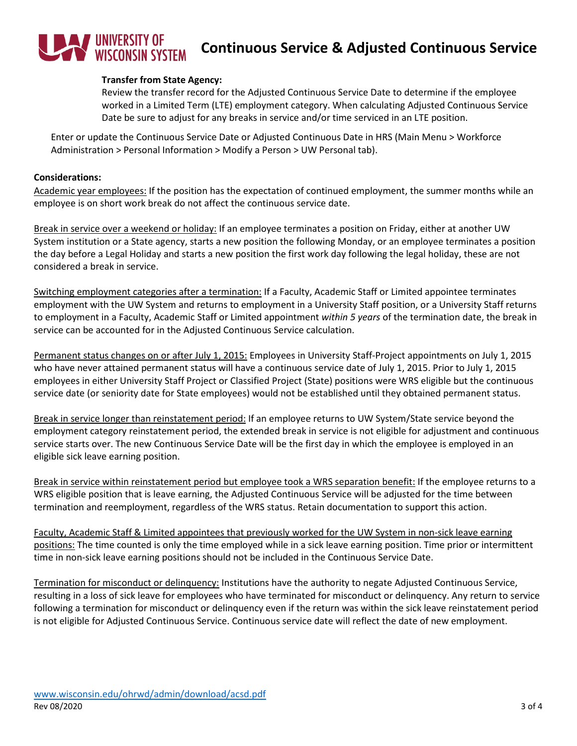# **WINDERSITY OF WISCONSIN SYSTEM Continuous Service & Adjusted Continuous Service**

#### **Transfer from State Agency:**

Review the transfer record for the Adjusted Continuous Service Date to determine if the employee worked in a Limited Term (LTE) employment category. When calculating Adjusted Continuous Service Date be sure to adjust for any breaks in service and/or time serviced in an LTE position.

Enter or update the Continuous Service Date or Adjusted Continuous Date in HRS (Main Menu > Workforce Administration > Personal Information > Modify a Person > UW Personal tab).

#### **Considerations:**

Academic year employees: If the position has the expectation of continued employment, the summer months while an employee is on short work break do not affect the continuous service date.

Break in service over a weekend or holiday: If an employee terminates a position on Friday, either at another UW System institution or a State agency, starts a new position the following Monday, or an employee terminates a position the day before a Legal Holiday and starts a new position the first work day following the legal holiday, these are not considered a break in service.

Switching employment categories after a termination: If a Faculty, Academic Staff or Limited appointee terminates employment with the UW System and returns to employment in a University Staff position, or a University Staff returns to employment in a Faculty, Academic Staff or Limited appointment *within 5 years* of the termination date, the break in service can be accounted for in the Adjusted Continuous Service calculation.

Permanent status changes on or after July 1, 2015: Employees in University Staff-Project appointments on July 1, 2015 who have never attained permanent status will have a continuous service date of July 1, 2015. Prior to July 1, 2015 employees in either University Staff Project or Classified Project (State) positions were WRS eligible but the continuous service date (or seniority date for State employees) would not be established until they obtained permanent status.

Break in service longer than reinstatement period: If an employee returns to UW System/State service beyond the employment category reinstatement period, the extended break in service is not eligible for adjustment and continuous service starts over. The new Continuous Service Date will be the first day in which the employee is employed in an eligible sick leave earning position.

Break in service within reinstatement period but employee took a WRS separation benefit: If the employee returns to a WRS eligible position that is leave earning, the Adjusted Continuous Service will be adjusted for the time between termination and reemployment, regardless of the WRS status. Retain documentation to support this action.

Faculty, Academic Staff & Limited appointees that previously worked for the UW System in non-sick leave earning positions: The time counted is only the time employed while in a sick leave earning position. Time prior or intermittent time in non-sick leave earning positions should not be included in the Continuous Service Date.

Termination for misconduct or delinquency: Institutions have the authority to negate Adjusted Continuous Service, resulting in a loss of sick leave for employees who have terminated for misconduct or delinquency. Any return to service following a termination for misconduct or delinquency even if the return was within the sick leave reinstatement period is not eligible for Adjusted Continuous Service. Continuous service date will reflect the date of new employment.